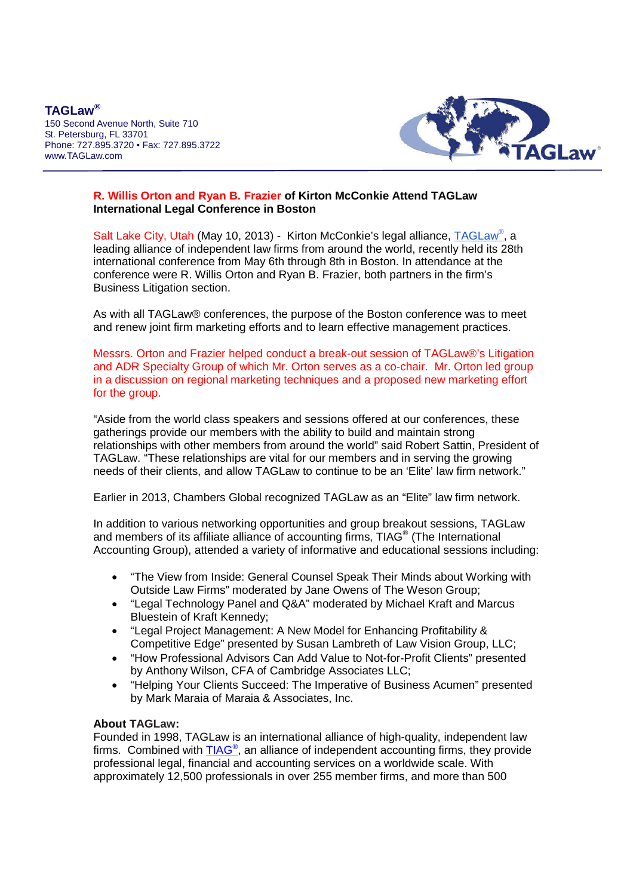**TAGLaw®** 150 Second Avenue North, Suite 710 St. Petersburg, FL 33701 Phone: 727.895.3720 • Fax: 727.895.3722 www.TAGLaw.com



## **R. Willis Orton and Ryan B. Frazier of Kirton McConkie Attend TAGLaw International Legal Conference in Boston**

Salt Lake City, Utah (May 10, 2013) - Kirton McConkie's legal alliance, TAGLaw<sup>®</sup>, a leading alliance of independent law firms from around the world, recently held its 28th international conference from May 6th through 8th in Boston. In attendance at the conference were R. Willis Orton and Ryan B. Frazier, both partners in the firm's Business Litigation section.

As with all TAGLaw® conferences, the purpose of the Boston conference was to meet and renew joint firm marketing efforts and to learn effective management practices.

Messrs. Orton and Frazier helped conduct a break-out session of TAGLaw®'s Litigation and ADR Specialty Group of which Mr. Orton serves as a co-chair. Mr. Orton led group in a discussion on regional marketing techniques and a proposed new marketing effort for the group.

"Aside from the world class speakers and sessions offered at our conferences, these gatherings provide our members with the ability to build and maintain strong relationships with other members from around the world" said Robert Sattin, President of TAGLaw. "These relationships are vital for our members and in serving the growing needs of their clients, and allow TAGLaw to continue to be an 'Elite' law firm network."

Earlier in 2013, Chambers Global recognized TAGLaw as an "Elite" law firm network.

In addition to various networking opportunities and group breakout sessions, TAGLaw and members of its affiliate alliance of accounting firms, TIAG® (The International Accounting Group), attended a variety of informative and educational sessions including:

- "The View from Inside: General Counsel Speak Their Minds about Working with Outside Law Firms" moderated by Jane Owens of The Weson Group;
- "Legal Technology Panel and Q&A" moderated by Michael Kraft and Marcus Bluestein of Kraft Kennedy;
- "Legal Project Management: A New Model for Enhancing Profitability & Competitive Edge" presented by Susan Lambreth of Law Vision Group, LLC;
- "How Professional Advisors Can Add Value to Not-for-Profit Clients" presented by Anthony Wilson, CFA of Cambridge Associates LLC;
- "Helping Your Clients Succeed: The Imperative of Business Acumen" presented by Mark Maraia of Maraia & Associates, Inc.

## **About TAGLaw:**

Founded in 1998, TAGLaw is an international alliance of high-quality, independent law firms. Combined with **TIAG<sup>®</sup>, an alliance of independent accounting firms**, they provide professional legal, financial and accounting services on a worldwide scale. With approximately 12,500 professionals in over 255 member firms, and more than 500